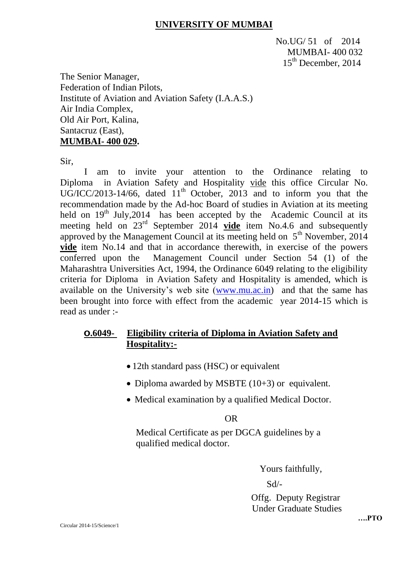## **UNIVERSITY OF MUMBAI**

No.UG/ 51 of 2014 MUMBAI- 400 032 15<sup>th</sup> December, 2014

The Senior Manager, Federation of Indian Pilots, Institute of Aviation and Aviation Safety (I.A.A.S.) Air India Complex, Old Air Port, Kalina, Santacruz (East), **MUMBAI- 400 029.**

Sir,

I am to invite your attention to the Ordinance relating to Diploma in Aviation Safety and Hospitality vide this office Circular No. UG/ICC/2013-14/66, dated  $11<sup>th</sup>$  October, 2013 and to inform you that the recommendation made by the Ad-hoc Board of studies in Aviation at its meeting held on  $19<sup>th</sup>$  July, 2014 has been accepted by the Academic Council at its meeting held on 23<sup>rd</sup> September 2014 **vide** item No.4.6 and subsequently approved by the Management Council at its meeting held on  $5<sup>th</sup>$  November, 2014 **vide** item No.14 and that in accordance therewith, in exercise of the powers conferred upon the Management Council under Section 54 (1) of the Maharashtra Universities Act, 1994, the Ordinance 6049 relating to the eligibility criteria for Diploma in Aviation Safety and Hospitality is amended, which is available on the University's web site [\(www.mu.ac.in\)](http://www.mu.ac.in/) and that the same has been brought into force with effect from the academic year 2014-15 which is read as under :-

## **O.6049- Eligibility criteria of Diploma in Aviation Safety and Hospitality:-**

- 12th standard pass (HSC) or equivalent
- Diploma awarded by MSBTE  $(10+3)$  or equivalent.
- Medical examination by a qualified Medical Doctor.

### **OR** OF THE STATE OF THE STATE OF THE STATE OF THE STATE OF THE STATE OF THE STATE OF THE STATE OF THE STATE OF THE STATE OF THE STATE OF THE STATE OF THE STATE OF THE STATE OF THE STATE OF THE STATE OF THE STATE OF THE ST

Medical Certificate as per DGCA guidelines by a qualified medical doctor.

Yours faithfully,

Sd/-

 Offg. Deputy Registrar Under Graduate Studies

**….PTO**